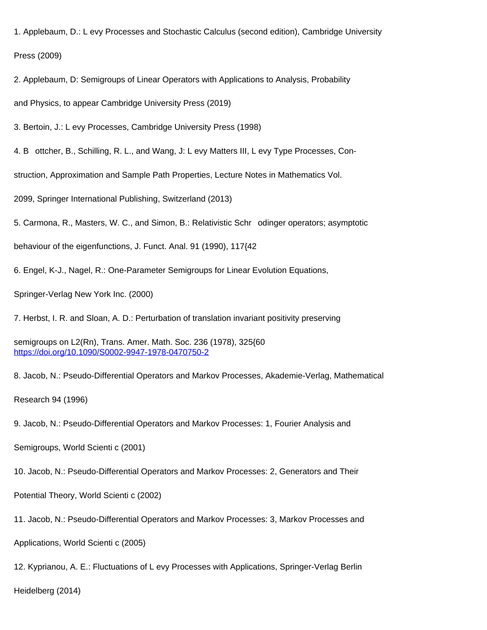1. Applebaum, D.: L evy Processes and Stochastic Calculus (second edition), Cambridge University Press (2009)

2. Applebaum, D: Semigroups of Linear Operators with Applications to Analysis, Probability

and Physics, to appear Cambridge University Press (2019)

3. Bertoin, J.: L evy Processes, Cambridge University Press (1998)

4. B ottcher, B., Schilling, R. L., and Wang, J: L evy Matters III, L evy Type Processes, Con-

struction, Approximation and Sample Path Properties, Lecture Notes in Mathematics Vol.

2099, Springer International Publishing, Switzerland (2013)

5. Carmona, R., Masters, W. C., and Simon, B.: Relativistic Schr odinger operators; asymptotic

behaviour of the eigenfunctions, J. Funct. Anal. 91 (1990), 117{42

6. Engel, K-J., Nagel, R.: One-Parameter Semigroups for Linear Evolution Equations,

Springer-Verlag New York Inc. (2000)

7. Herbst, I. R. and Sloan, A. D.: Perturbation of translation invariant positivity preserving

semigroups on L2(Rn), Trans. Amer. Math. Soc. 236 (1978), 325{60 <https://doi.org/10.1090/S0002-9947-1978-0470750-2>

8. Jacob, N.: Pseudo-Differential Operators and Markov Processes, Akademie-Verlag, Mathematical

Research 94 (1996)

9. Jacob, N.: Pseudo-Differential Operators and Markov Processes: 1, Fourier Analysis and

Semigroups, World Scienti c (2001)

10. Jacob, N.: Pseudo-Differential Operators and Markov Processes: 2, Generators and Their

Potential Theory, World Scienti c (2002)

11. Jacob, N.: Pseudo-Differential Operators and Markov Processes: 3, Markov Processes and

Applications, World Scienti c (2005)

12. Kyprianou, A. E.: Fluctuations of L evy Processes with Applications, Springer-Verlag Berlin

Heidelberg (2014)